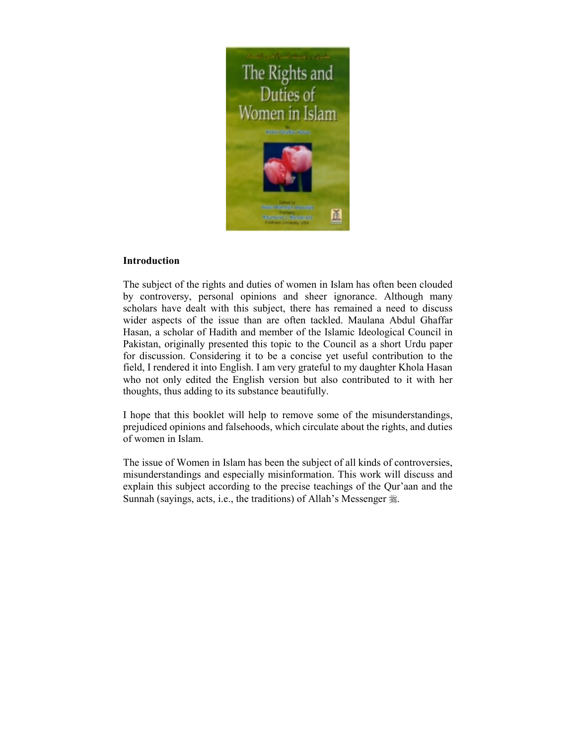

# **Introduction**

The subject of the rights and duties of women in Islam has often been clouded by controversy, personal opinions and sheer ignorance. Although many scholars have dealt with this subject, there has remained a need to discuss wider aspects of the issue than are often tackled. Maulana Abdul Ghaffar Hasan, a scholar of Hadith and member of the Islamic Ideological Council in Pakistan, originally presented this topic to the Council as a short Urdu paper for discussion. Considering it to be a concise yet useful contribution to the field, I rendered it into English. I am very grateful to my daughter Khola Hasan who not only edited the English version but also contributed to it with her thoughts, thus adding to its substance beautifully.

I hope that this booklet will help to remove some of the misunderstandings, prejudiced opinions and falsehoods, which circulate about the rights, and duties of women in Islam.

The issue of Women in Islam has been the subject of all kinds of controversies, misunderstandings and especially misinformation. This work will discuss and explain this subject according to the precise teachings of the Qur'aan and the Sunnah (sayings, acts, i.e., the traditions) of Allah's Messenger  $\ddot{\mathscr{E}}$ .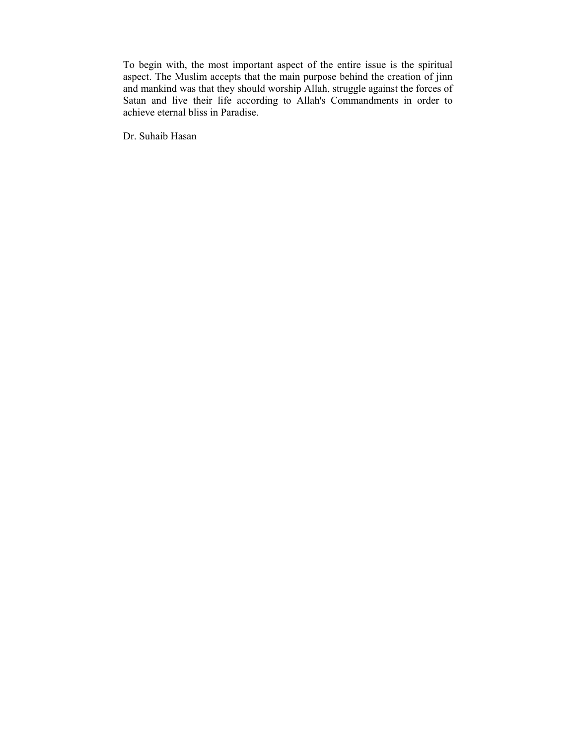To begin with, the most important aspect of the entire issue is the spiritual aspect. The Muslim accepts that the main purpose behind the creation of jinn and mankind was that they should worship Allah, struggle against the forces of Satan and live their life according to Allah's Commandments in order to achieve eternal bliss in Paradise.

Dr. Suhaib Hasan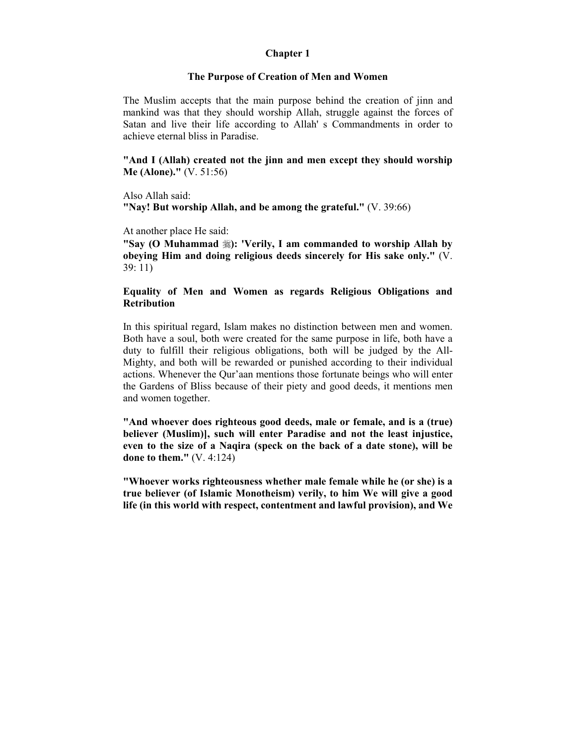### **Chapter 1**

#### **The Purpose of Creation of Men and Women**

The Muslim accepts that the main purpose behind the creation of jinn and mankind was that they should worship Allah, struggle against the forces of Satan and live their life according to Allah' s Commandments in order to achieve eternal bliss in Paradise.

**"And I (Allah) created not the jinn and men except they should worship Me (Alone)."** (V. 51:56)

Also Allah said: **"Nay! But worship Allah, and be among the grateful."** (V. 39:66)

At another place He said:

**"Say (O Muhammad** !**): 'Verily, I am commanded to worship Allah by obeying Him and doing religious deeds sincerely for His sake only."** (V. 39: 11)

# **Equality of Men and Women as regards Religious Obligations and Retribution**

In this spiritual regard, Islam makes no distinction between men and women. Both have a soul, both were created for the same purpose in life, both have a duty to fulfill their religious obligations, both will be judged by the All-Mighty, and both will be rewarded or punished according to their individual actions. Whenever the Qur'aan mentions those fortunate beings who will enter the Gardens of Bliss because of their piety and good deeds, it mentions men and women together.

**"And whoever does righteous good deeds, male or female, and is a (true) believer (Muslim)], such will enter Paradise and not the least injustice, even to the size of a Naqira (speck on the back of a date stone), will be done to them."** (V. 4:124)

**"Whoever works righteousness whether male female while he (or she) is a true believer (of Islamic Monotheism) verily, to him We will give a good life (in this world with respect, contentment and lawful provision), and We**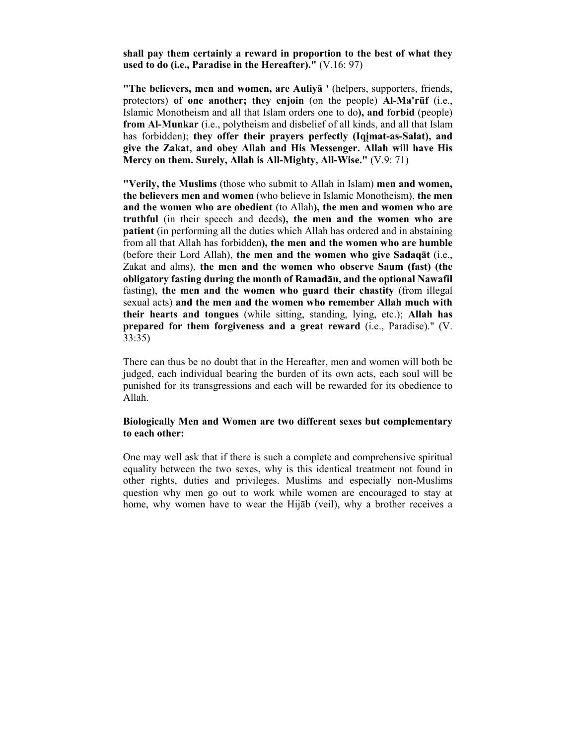**shall pay them certainly a reward in proportion to the best of what they used to do (i.e., Paradise in the Hereafter)."** (V.16: 97)

**"The believers, men and women, are Auliyā '** (helpers, supporters, friends, protectors) **of one another; they enjoin** (on the people) **Al-Ma'rüf** (i.e., Islamic Monotheism and all that Islam orders one to do**), and forbid** (people) **from Al-Munkar** (i.e., polytheism and disbelief of all kinds, and all that Islam has forbidden); **they offer their prayers perfectly (Iqįmat-as-Salat), and give the Zakat, and obey Allah and His Messenger. Allah will have His Mercy on them. Surely, Allah is All-Mighty, All-Wise."** (V.9: 71)

**"Verily, the Muslims** (those who submit to Allah in Islam) **men and women, the believers men and women** (who believe in Islamic Monotheism), **the men and the women who are obedient** (to Allah**), the men and women who are truthful** (in their speech and deeds**), the men and the women who are patient** (in performing all the duties which Allah has ordered and in abstaining from all that Allah has forbidden**), the men and the women who are humble** (before their Lord Allah), **the men and the women who give Sadaqāt** (i.e., Zakat and alms), **the men and the women who observe Saum (fast) (the obligatory fasting during the month of Ramadān, and the optional Nawafil** fasting), **the men and the women who guard their chastity** (from illegal sexual acts) **and the men and the women who remember Allah much with their hearts and tongues** (while sitting, standing, lying, etc.); **Allah has prepared for them forgiveness and a great reward** (i.e., Paradise)." (V. 33:35)

There can thus be no doubt that in the Hereafter, men and women will both be judged, each individual bearing the burden of its own acts, each soul will be punished for its transgressions and each will be rewarded for its obedience to Allah.

### **Biologically Men and Women are two different sexes but complementary to each other:**

One may well ask that if there is such a complete and comprehensive spiritual equality between the two sexes, why is this identical treatment not found in other rights, duties and privileges. Muslims and especially non-Muslims question why men go out to work while women are encouraged to stay at home, why women have to wear the Hijāb (veil), why a brother receives a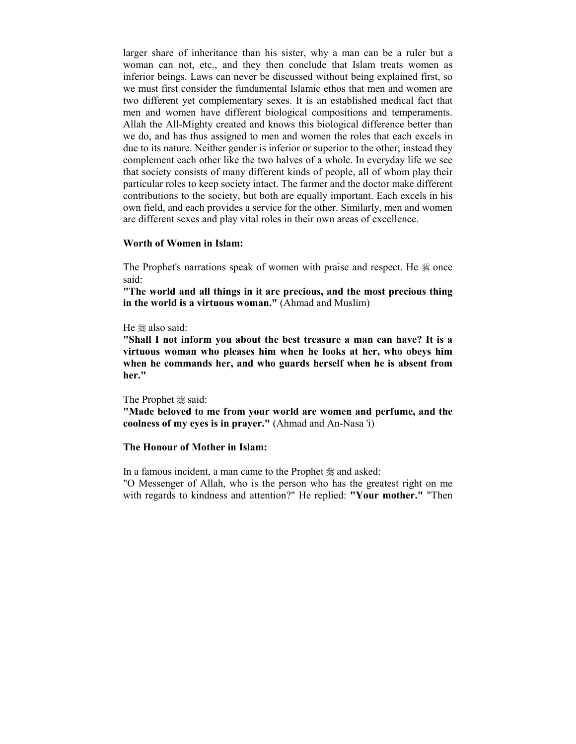larger share of inheritance than his sister, why a man can be a ruler but a woman can not, etc., and they then conclude that Islam treats women as inferior beings. Laws can never be discussed without being explained first, so we must first consider the fundamental Islamic ethos that men and women are two different yet complementary sexes. It is an established medical fact that men and women have different biological compositions and temperaments. Allah the All-Mighty created and knows this biological difference better than we do, and has thus assigned to men and women the roles that each excels in due to its nature. Neither gender is inferior or superior to the other; instead they complement each other like the two halves of a whole. In everyday life we see that society consists of many different kinds of people, all of whom play their particular roles to keep society intact. The farmer and the doctor make different contributions to the society, but both are equally important. Each excels in his own field, and each provides a service for the other. Similarly, men and women are different sexes and play vital roles in their own areas of excellence.

#### **Worth of Women in Islam:**

The Prophet's narrations speak of women with praise and respect. He  $\&$  once said:

**"The world and all things in it are precious, and the most precious thing in the world is a virtuous woman."** (Ahmad and Muslim)

#### He  $\#$  also said:

**"Shall I not inform you about the best treasure a man can have? It is a virtuous woman who pleases him when he looks at her, who obeys him when he commands her, and who guards herself when he is absent from her."** 

The Prophet  $\frac{1}{28}$  said: **"Made beloved to me from your world are women and perfume, and the coolness of my eyes is in prayer."** (Ahmad and An-Nasa 'i)

#### **The Honour of Mother in Islam:**

In a famous incident, a man came to the Prophet  $\frac{1}{26}$  and asked: "O Messenger of Allah, who is the person who has the greatest right on me

with regards to kindness and attention?" He replied: **"Your mother."** "Then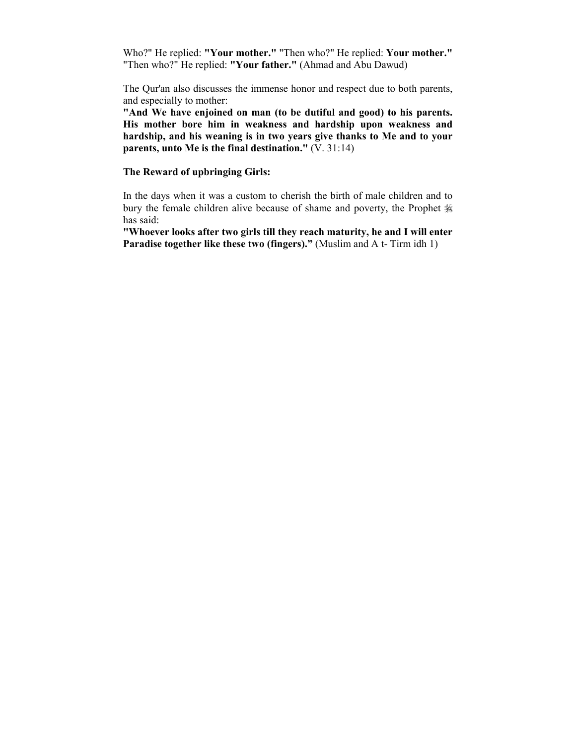Who?" He replied: **"Your mother."** "Then who?" He replied: **Your mother."** "Then who?" He replied: **"Your father."** (Ahmad and Abu Dawud)

The Qur'an also discusses the immense honor and respect due to both parents, and especially to mother:

**"And We have enjoined on man (to be dutiful and good) to his parents. His mother bore him in weakness and hardship upon weakness and hardship, and his weaning is in two years give thanks to Me and to your parents, unto Me is the final destination."** (V. 31:14)

### **The Reward of upbringing Girls:**

In the days when it was a custom to cherish the birth of male children and to bury the female children alive because of shame and poverty, the Prophet  $\frac{1}{26}$ has said:

**"Whoever looks after two girls till they reach maturity, he and I will enter Paradise together like these two (fingers)."** (Muslim and A t- Tirm idh 1)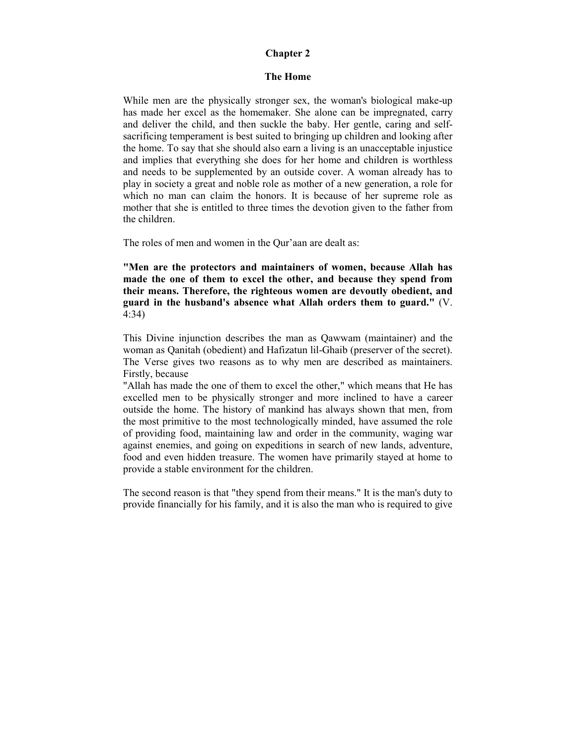### **Chapter 2**

### **The Home**

While men are the physically stronger sex, the woman's biological make-up has made her excel as the homemaker. She alone can be impregnated, carry and deliver the child, and then suckle the baby. Her gentle, caring and selfsacrificing temperament is best suited to bringing up children and looking after the home. To say that she should also earn a living is an unacceptable injustice and implies that everything she does for her home and children is worthless and needs to be supplemented by an outside cover. A woman already has to play in society a great and noble role as mother of a new generation, a role for which no man can claim the honors. It is because of her supreme role as mother that she is entitled to three times the devotion given to the father from the children.

The roles of men and women in the Qur'aan are dealt as:

**"Men are the protectors and maintainers of women, because Allah has made the one of them to excel the other, and because they spend from their means. Therefore, the righteous women are devoutly obedient, and guard in the husband's absence what Allah orders them to guard."** (V. 4:34)

This Divine injunction describes the man as Qawwam (maintainer) and the woman as Qanitah (obedient) and Hafizatun lil-Ghaib (preserver of the secret). The Verse gives two reasons as to why men are described as maintainers. Firstly, because

"Allah has made the one of them to excel the other," which means that He has excelled men to be physically stronger and more inclined to have a career outside the home. The history of mankind has always shown that men, from the most primitive to the most technologically minded, have assumed the role of providing food, maintaining law and order in the community, waging war against enemies, and going on expeditions in search of new lands, adventure, food and even hidden treasure. The women have primarily stayed at home to provide a stable environment for the children.

The second reason is that "they spend from their means." It is the man's duty to provide financially for his family, and it is also the man who is required to give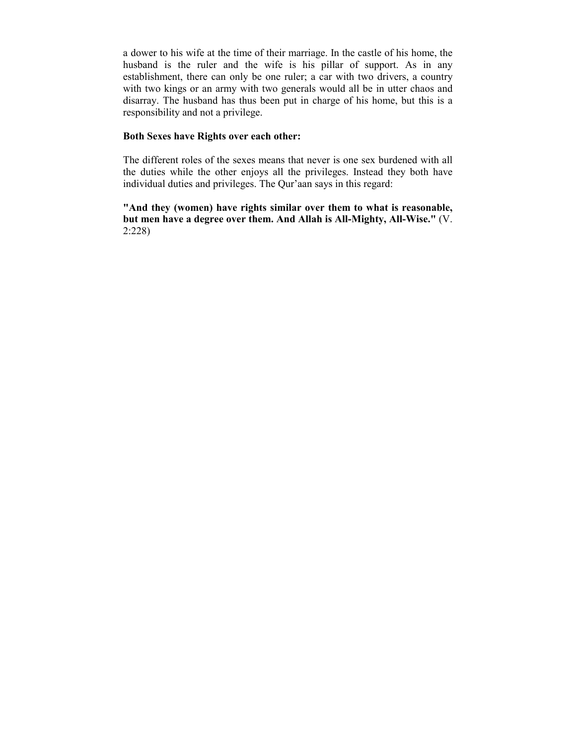a dower to his wife at the time of their marriage. In the castle of his home, the husband is the ruler and the wife is his pillar of support. As in any establishment, there can only be one ruler; a car with two drivers, a country with two kings or an army with two generals would all be in utter chaos and disarray. The husband has thus been put in charge of his home, but this is a responsibility and not a privilege.

### **Both Sexes have Rights over each other:**

The different roles of the sexes means that never is one sex burdened with all the duties while the other enjoys all the privileges. Instead they both have individual duties and privileges. The Qur'aan says in this regard:

**"And they (women) have rights similar over them to what is reasonable, but men have a degree over them. And Allah is All-Mighty, All-Wise."** (V. 2:228)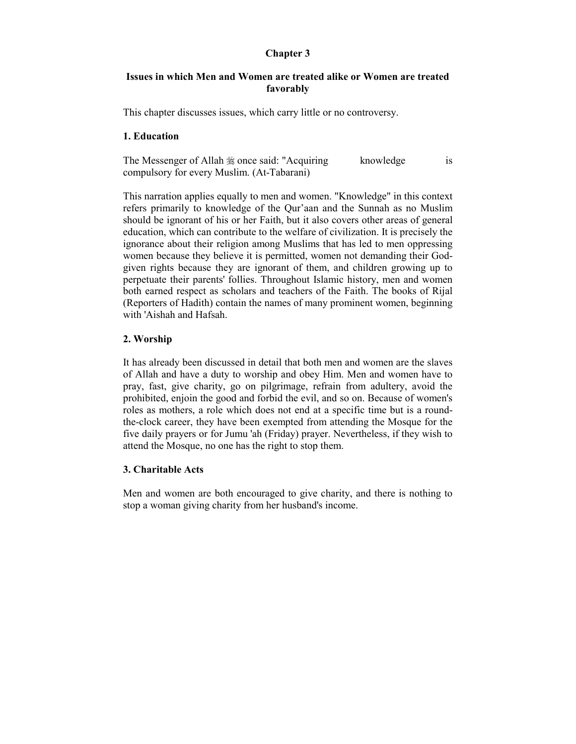# **Chapter 3**

# **Issues in which Men and Women are treated alike or Women are treated favorably**

This chapter discusses issues, which carry little or no controversy.

### **1. Education**

The Messenger of Allah  $\frac{1}{20}$  once said: "Acquiring knowledge is compulsory for every Muslim. (At-Tabarani)

This narration applies equally to men and women. "Knowledge" in this context refers primarily to knowledge of the Qur'aan and the Sunnah as no Muslim should be ignorant of his or her Faith, but it also covers other areas of general education, which can contribute to the welfare of civilization. It is precisely the ignorance about their religion among Muslims that has led to men oppressing women because they believe it is permitted, women not demanding their Godgiven rights because they are ignorant of them, and children growing up to perpetuate their parents' follies. Throughout Islamic history, men and women both earned respect as scholars and teachers of the Faith. The books of Rijal (Reporters of Hadith) contain the names of many prominent women, beginning with 'Aishah and Hafsah.

# **2. Worship**

It has already been discussed in detail that both men and women are the slaves of Allah and have a duty to worship and obey Him. Men and women have to pray, fast, give charity, go on pilgrimage, refrain from adultery, avoid the prohibited, enjoin the good and forbid the evil, and so on. Because of women's roles as mothers, a role which does not end at a specific time but is a roundthe-clock career, they have been exempted from attending the Mosque for the five daily prayers or for Jumu 'ah (Friday) prayer. Nevertheless, if they wish to attend the Mosque, no one has the right to stop them.

# **3. Charitable Acts**

Men and women are both encouraged to give charity, and there is nothing to stop a woman giving charity from her husband's income.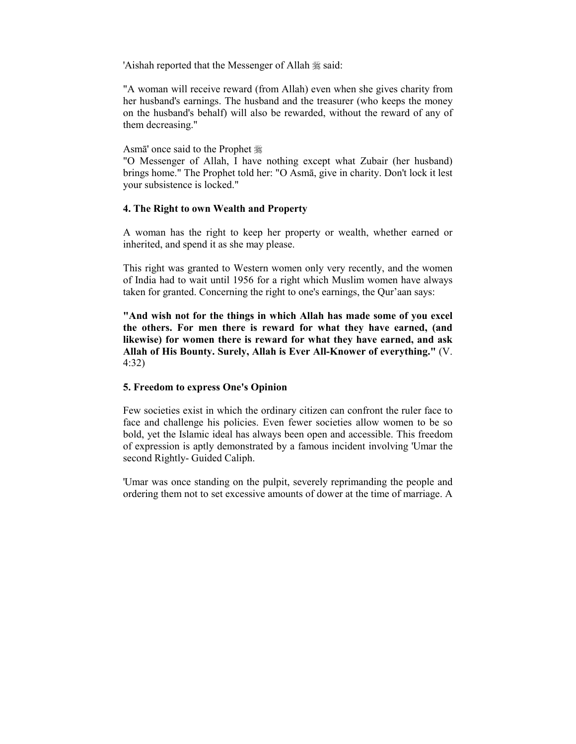'Aishah reported that the Messenger of Allah  $\frac{1}{26}$  said:

"A woman will receive reward (from Allah) even when she gives charity from her husband's earnings. The husband and the treasurer (who keeps the money on the husband's behalf) will also be rewarded, without the reward of any of them decreasing."

Asmā' once said to the Prophet  $\frac{46}{36}$ 

"O Messenger of Allah, I have nothing except what Zubair (her husband) brings home." The Prophet told her: "O Asmā, give in charity. Don't lock it lest your subsistence is locked."

# **4. The Right to own Wealth and Property**

A woman has the right to keep her property or wealth, whether earned or inherited, and spend it as she may please.

This right was granted to Western women only very recently, and the women of India had to wait until 1956 for a right which Muslim women have always taken for granted. Concerning the right to one's earnings, the Qur'aan says:

**"And wish not for the things in which Allah has made some of you excel the others. For men there is reward for what they have earned, (and likewise) for women there is reward for what they have earned, and ask Allah of His Bounty. Surely, Allah is Ever All-Knower of everything."** (V. 4:32)

# **5. Freedom to express One's Opinion**

Few societies exist in which the ordinary citizen can confront the ruler face to face and challenge his policies. Even fewer societies allow women to be so bold, yet the Islamic ideal has always been open and accessible. This freedom of expression is aptly demonstrated by a famous incident involving 'Umar the second Rightly- Guided Caliph.

'Umar was once standing on the pulpit, severely reprimanding the people and ordering them not to set excessive amounts of dower at the time of marriage. A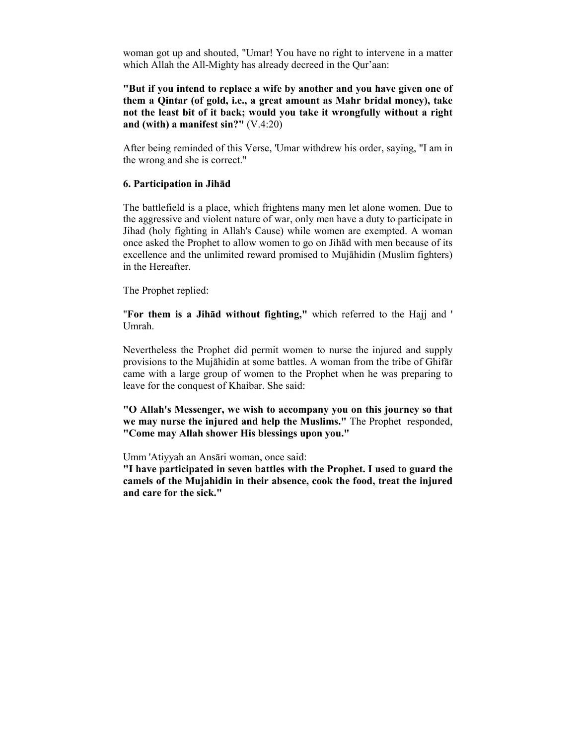woman got up and shouted, "Umar! You have no right to intervene in a matter which Allah the All-Mighty has already decreed in the Qur'aan:

**"But if you intend to replace a wife by another and you have given one of them a Qintar (of gold, i.e., a great amount as Mahr bridal money), take not the least bit of it back; would you take it wrongfully without a right and (with) a manifest sin?"** (V.4:20)

After being reminded of this Verse, 'Umar withdrew his order, saying, "I am in the wrong and she is correct."

### **6. Participation in Jihād**

The battlefield is a place, which frightens many men let alone women. Due to the aggressive and violent nature of war, only men have a duty to participate in Jihad (holy fighting in Allah's Cause) while women are exempted. A woman once asked the Prophet to allow women to go on Jihād with men because of its excellence and the unlimited reward promised to Mujāhidin (Muslim fighters) in the Hereafter.

The Prophet replied:

"**For them is a Jihād without fighting,"** which referred to the Hajj and ' Umrah.

Nevertheless the Prophet did permit women to nurse the injured and supply provisions to the Mujāhidin at some battles. A woman from the tribe of Ghifār came with a large group of women to the Prophet when he was preparing to leave for the conquest of Khaibar. She said:

**"O Allah's Messenger, we wish to accompany you on this journey so that we may nurse the injured and help the Muslims."** The Prophet responded, **"Come may Allah shower His blessings upon you."** 

Umm 'Atiyyah an Ansāri woman, once said:

**"I have participated in seven battles with the Prophet. I used to guard the camels of the Mujahidin in their absence, cook the food, treat the injured and care for the sick."**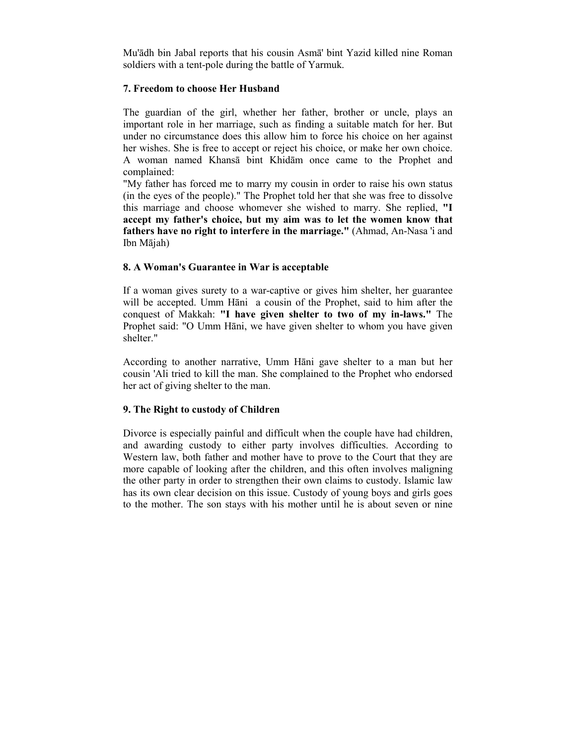Mu'ādh bin Jabal reports that his cousin Asmā' bint Yazid killed nine Roman soldiers with a tent-pole during the battle of Yarmuk.

### **7. Freedom to choose Her Husband**

The guardian of the girl, whether her father, brother or uncle, plays an important role in her marriage, such as finding a suitable match for her. But under no circumstance does this allow him to force his choice on her against her wishes. She is free to accept or reject his choice, or make her own choice. A woman named Khansā bint Khidām once came to the Prophet and complained:

"My father has forced me to marry my cousin in order to raise his own status (in the eyes of the people)." The Prophet told her that she was free to dissolve this marriage and choose whomever she wished to marry. She replied, **"I accept my father's choice, but my aim was to let the women know that fathers have no right to interfere in the marriage."** (Ahmad, An-Nasa 'i and Ibn Mājah)

# **8. A Woman's Guarantee in War is acceptable**

If a woman gives surety to a war-captive or gives him shelter, her guarantee will be accepted. Umm Hāni a cousin of the Prophet, said to him after the conquest of Makkah: **"I have given shelter to two of my in-laws."** The Prophet said: "O Umm Hāni, we have given shelter to whom you have given shelter."

According to another narrative, Umm Hāni gave shelter to a man but her cousin 'Ali tried to kill the man. She complained to the Prophet who endorsed her act of giving shelter to the man.

# **9. The Right to custody of Children**

Divorce is especially painful and difficult when the couple have had children, and awarding custody to either party involves difficulties. According to Western law, both father and mother have to prove to the Court that they are more capable of looking after the children, and this often involves maligning the other party in order to strengthen their own claims to custody. Islamic law has its own clear decision on this issue. Custody of young boys and girls goes to the mother. The son stays with his mother until he is about seven or nine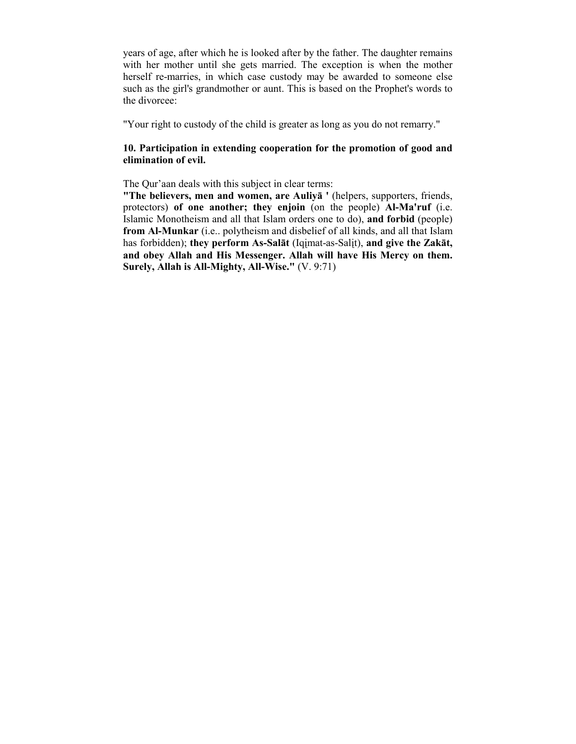years of age, after which he is looked after by the father. The daughter remains with her mother until she gets married. The exception is when the mother herself re-marries, in which case custody may be awarded to someone else such as the girl's grandmother or aunt. This is based on the Prophet's words to the divorcee:

"Your right to custody of the child is greater as long as you do not remarry."

# **10. Participation in extending cooperation for the promotion of good and elimination of evil.**

The Qur'aan deals with this subject in clear terms:

**"The believers, men and women, are Auliyā '** (helpers, supporters, friends, protectors) **of one another; they enjoin** (on the people) **Al-Ma'ruf** (i.e. Islamic Monotheism and all that Islam orders one to do), **and forbid** (people) **from Al-Munkar** (i.e.. polytheism and disbelief of all kinds, and all that Islam has forbidden); **they perform As-Salāt** (Iqįmat-as-Salįt), **and give the Zakāt, and obey Allah and His Messenger. Allah will have His Mercy on them. Surely, Allah is All-Mighty, All-Wise."** (V. 9:71)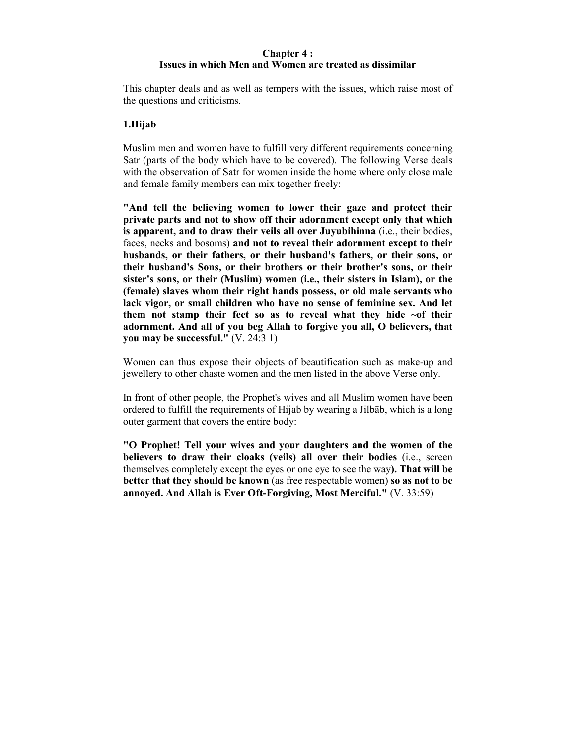## **Chapter 4 : Issues in which Men and Women are treated as dissimilar**

This chapter deals and as well as tempers with the issues, which raise most of the questions and criticisms.

### **1.Hijab**

Muslim men and women have to fulfill very different requirements concerning Satr (parts of the body which have to be covered). The following Verse deals with the observation of Satr for women inside the home where only close male and female family members can mix together freely:

**"And tell the believing women to lower their gaze and protect their private parts and not to show off their adornment except only that which is apparent, and to draw their veils all over Juyubihinna** (i.e., their bodies, faces, necks and bosoms) **and not to reveal their adornment except to their husbands, or their fathers, or their husband's fathers, or their sons, or their husband's Sons, or their brothers or their brother's sons, or their sister's sons, or their (Muslim) women (i.e., their sisters in Islam), or the (female) slaves whom their right hands possess, or old male servants who lack vigor, or small children who have no sense of feminine sex. And let them not stamp their feet so as to reveal what they hide ~of their adornment. And all of you beg Allah to forgive you all, O believers, that you may be successful."** (V. 24:3 1)

Women can thus expose their objects of beautification such as make-up and jewellery to other chaste women and the men listed in the above Verse only.

In front of other people, the Prophet's wives and all Muslim women have been ordered to fulfill the requirements of Hijab by wearing a Jilbāb, which is a long outer garment that covers the entire body:

**"O Prophet! Tell your wives and your daughters and the women of the believers to draw their cloaks (veils) all over their bodies** (i.e., screen themselves completely except the eyes or one eye to see the way**). That will be better that they should be known** (as free respectable women) **so as not to be annoyed. And Allah is Ever Oft-Forgiving, Most Merciful."** (V. 33:59)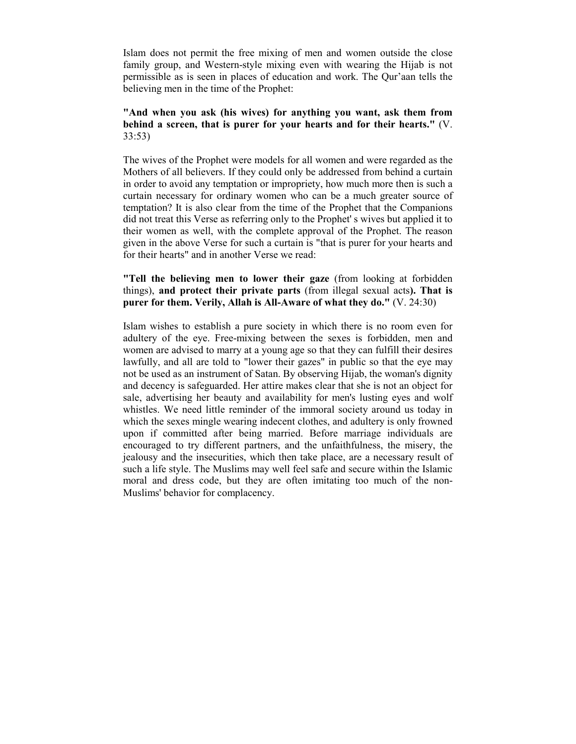Islam does not permit the free mixing of men and women outside the close family group, and Western-style mixing even with wearing the Hijab is not permissible as is seen in places of education and work. The Qur'aan tells the believing men in the time of the Prophet:

## **"And when you ask (his wives) for anything you want, ask them from behind a screen, that is purer for your hearts and for their hearts."** (V. 33:53)

The wives of the Prophet were models for all women and were regarded as the Mothers of all believers. If they could only be addressed from behind a curtain in order to avoid any temptation or impropriety, how much more then is such a curtain necessary for ordinary women who can be a much greater source of temptation? It is also clear from the time of the Prophet that the Companions did not treat this Verse as referring only to the Prophet' s wives but applied it to their women as well, with the complete approval of the Prophet. The reason given in the above Verse for such a curtain is "that is purer for your hearts and for their hearts" and in another Verse we read:

# **"Tell the believing men to lower their gaze** (from looking at forbidden things), **and protect their private parts** (from illegal sexual acts**). That is purer for them. Verily, Allah is All-Aware of what they do."** (V. 24:30)

Islam wishes to establish a pure society in which there is no room even for adultery of the eye. Free-mixing between the sexes is forbidden, men and women are advised to marry at a young age so that they can fulfill their desires lawfully, and all are told to "lower their gazes" in public so that the eye may not be used as an instrument of Satan. By observing Hijab, the woman's dignity and decency is safeguarded. Her attire makes clear that she is not an object for sale, advertising her beauty and availability for men's lusting eyes and wolf whistles. We need little reminder of the immoral society around us today in which the sexes mingle wearing indecent clothes, and adultery is only frowned upon if committed after being married. Before marriage individuals are encouraged to try different partners, and the unfaithfulness, the misery, the jealousy and the insecurities, which then take place, are a necessary result of such a life style. The Muslims may well feel safe and secure within the Islamic moral and dress code, but they are often imitating too much of the non-Muslims' behavior for complacency.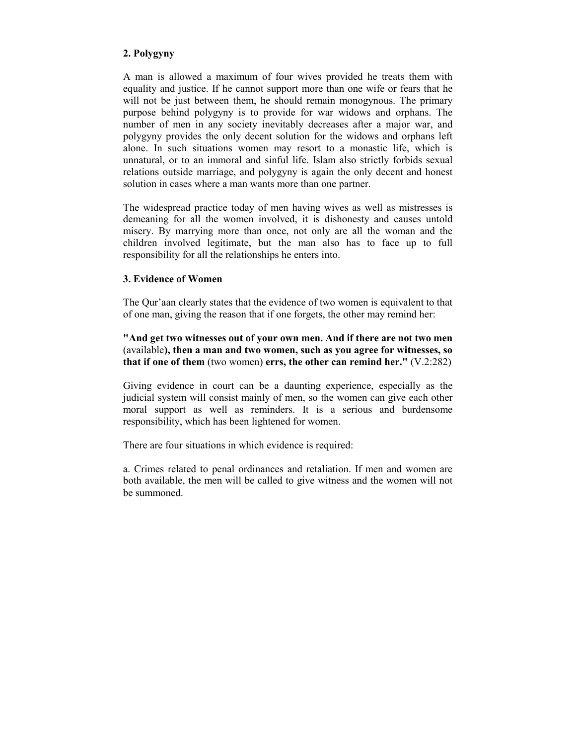# **2. Polygyny**

A man is allowed a maximum of four wives provided he treats them with equality and justice. If he cannot support more than one wife or fears that he will not be just between them, he should remain monogynous. The primary purpose behind polygyny is to provide for war widows and orphans. The number of men in any society inevitably decreases after a major war, and polygyny provides the only decent solution for the widows and orphans left alone. In such situations women may resort to a monastic life, which is unnatural, or to an immoral and sinful life. Islam also strictly forbids sexual relations outside marriage, and polygyny is again the only decent and honest solution in cases where a man wants more than one partner.

The widespread practice today of men having wives as well as mistresses is demeaning for all the women involved, it is dishonesty and causes untold misery. By marrying more than once, not only are all the woman and the children involved legitimate, but the man also has to face up to full responsibility for all the relationships he enters into.

# **3. Evidence of Women**

The Qur'aan clearly states that the evidence of two women is equivalent to that of one man, giving the reason that if one forgets, the other may remind her:

**"And get two witnesses out of your own men. And if there are not two men** (available**), then a man and two women, such as you agree for witnesses, so that if one of them** (two women) **errs, the other can remind her."** (V.2:282)

Giving evidence in court can be a daunting experience, especially as the judicial system will consist mainly of men, so the women can give each other moral support as well as reminders. It is a serious and burdensome responsibility, which has been lightened for women.

There are four situations in which evidence is required:

a. Crimes related to penal ordinances and retaliation. If men and women are both available, the men will be called to give witness and the women will not be summoned.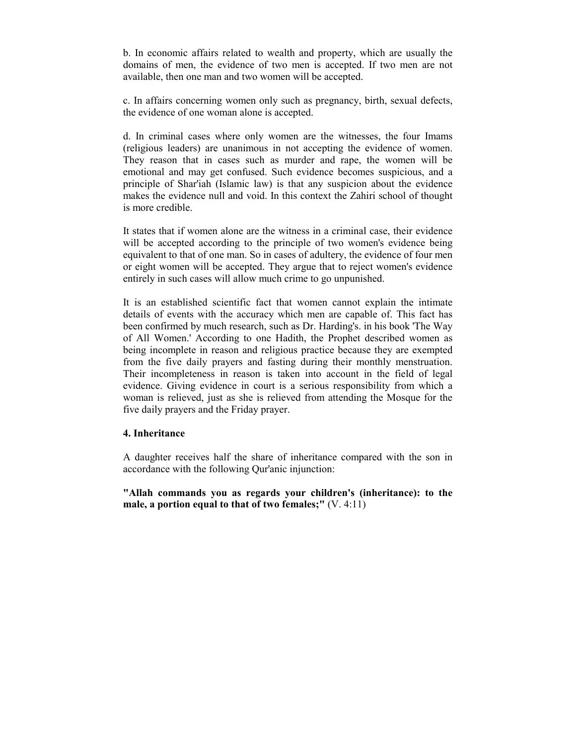b. In economic affairs related to wealth and property, which are usually the domains of men, the evidence of two men is accepted. If two men are not available, then one man and two women will be accepted.

c. In affairs concerning women only such as pregnancy, birth, sexual defects, the evidence of one woman alone is accepted.

d. In criminal cases where only women are the witnesses, the four Imams (religious leaders) are unanimous in not accepting the evidence of women. They reason that in cases such as murder and rape, the women will be emotional and may get confused. Such evidence becomes suspicious, and a principle of Shar'iah (Islamic law) is that any suspicion about the evidence makes the evidence null and void. In this context the Zahiri school of thought is more credible.

It states that if women alone are the witness in a criminal case, their evidence will be accepted according to the principle of two women's evidence being equivalent to that of one man. So in cases of adultery, the evidence of four men or eight women will be accepted. They argue that to reject women's evidence entirely in such cases will allow much crime to go unpunished.

It is an established scientific fact that women cannot explain the intimate details of events with the accuracy which men are capable of. This fact has been confirmed by much research, such as Dr. Harding's. in his book 'The Way of All Women.' According to one Hadith, the Prophet described women as being incomplete in reason and religious practice because they are exempted from the five daily prayers and fasting during their monthly menstruation. Their incompleteness in reason is taken into account in the field of legal evidence. Giving evidence in court is a serious responsibility from which a woman is relieved, just as she is relieved from attending the Mosque for the five daily prayers and the Friday prayer.

#### **4. Inheritance**

A daughter receives half the share of inheritance compared with the son in accordance with the following Qur'anic injunction:

**"Allah commands you as regards your children's (inheritance): to the male, a portion equal to that of two females;"** (V. 4:11)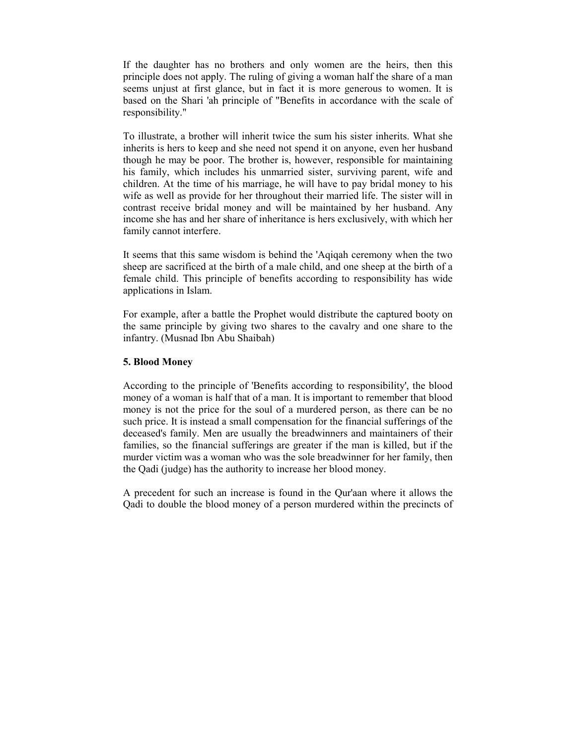If the daughter has no brothers and only women are the heirs, then this principle does not apply. The ruling of giving a woman half the share of a man seems unjust at first glance, but in fact it is more generous to women. It is based on the Shari 'ah principle of "Benefits in accordance with the scale of responsibility."

To illustrate, a brother will inherit twice the sum his sister inherits. What she inherits is hers to keep and she need not spend it on anyone, even her husband though he may be poor. The brother is, however, responsible for maintaining his family, which includes his unmarried sister, surviving parent, wife and children. At the time of his marriage, he will have to pay bridal money to his wife as well as provide for her throughout their married life. The sister will in contrast receive bridal money and will be maintained by her husband. Any income she has and her share of inheritance is hers exclusively, with which her family cannot interfere.

It seems that this same wisdom is behind the 'Aqiqah ceremony when the two sheep are sacrificed at the birth of a male child, and one sheep at the birth of a female child. This principle of benefits according to responsibility has wide applications in Islam.

For example, after a battle the Prophet would distribute the captured booty on the same principle by giving two shares to the cavalry and one share to the infantry. (Musnad Ibn Abu Shaibah)

### **5. Blood Money**

According to the principle of 'Benefits according to responsibility', the blood money of a woman is half that of a man. It is important to remember that blood money is not the price for the soul of a murdered person, as there can be no such price. It is instead a small compensation for the financial sufferings of the deceased's family. Men are usually the breadwinners and maintainers of their families, so the financial sufferings are greater if the man is killed, but if the murder victim was a woman who was the sole breadwinner for her family, then the Qadi (judge) has the authority to increase her blood money.

A precedent for such an increase is found in the Qur'aan where it allows the Qadi to double the blood money of a person murdered within the precincts of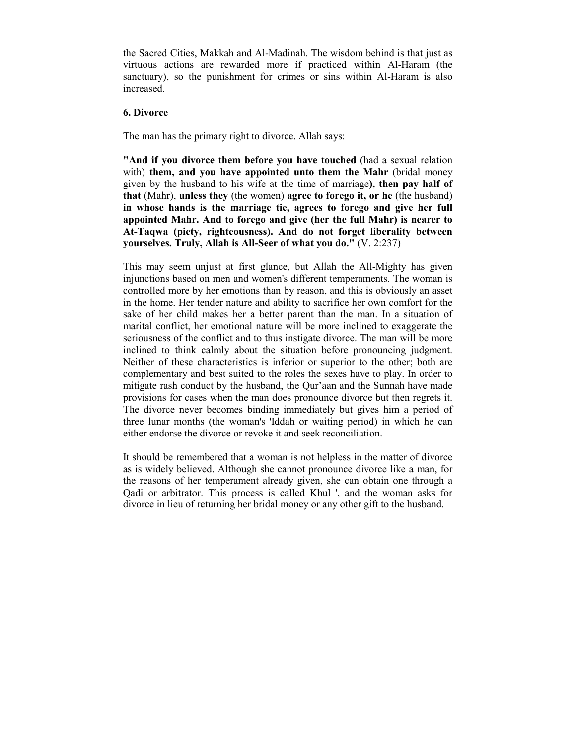the Sacred Cities, Makkah and Al-Madinah. The wisdom behind is that just as virtuous actions are rewarded more if practiced within Al-Haram (the sanctuary), so the punishment for crimes or sins within Al-Haram is also increased.

### **6. Divorce**

The man has the primary right to divorce. Allah says:

**"And if you divorce them before you have touched** (had a sexual relation with) **them, and you have appointed unto them the Mahr** (bridal money given by the husband to his wife at the time of marriage**), then pay half of that** (Mahr), **unless they** (the women) **agree to forego it, or he** (the husband) **in whose hands is the marriage tie, agrees to forego and give her full appointed Mahr. And to forego and give (her the full Mahr) is nearer to At-Taqwa (piety, righteousness). And do not forget liberality between yourselves. Truly, Allah is All-Seer of what you do."** (V. 2:237)

This may seem unjust at first glance, but Allah the All-Mighty has given injunctions based on men and women's different temperaments. The woman is controlled more by her emotions than by reason, and this is obviously an asset in the home. Her tender nature and ability to sacrifice her own comfort for the sake of her child makes her a better parent than the man. In a situation of marital conflict, her emotional nature will be more inclined to exaggerate the seriousness of the conflict and to thus instigate divorce. The man will be more inclined to think calmly about the situation before pronouncing judgment. Neither of these characteristics is inferior or superior to the other; both are complementary and best suited to the roles the sexes have to play. In order to mitigate rash conduct by the husband, the Qur'aan and the Sunnah have made provisions for cases when the man does pronounce divorce but then regrets it. The divorce never becomes binding immediately but gives him a period of three lunar months (the woman's 'Iddah or waiting period) in which he can either endorse the divorce or revoke it and seek reconciliation.

It should be remembered that a woman is not helpless in the matter of divorce as is widely believed. Although she cannot pronounce divorce like a man, for the reasons of her temperament already given, she can obtain one through a Qadi or arbitrator. This process is called Khul ', and the woman asks for divorce in lieu of returning her bridal money or any other gift to the husband.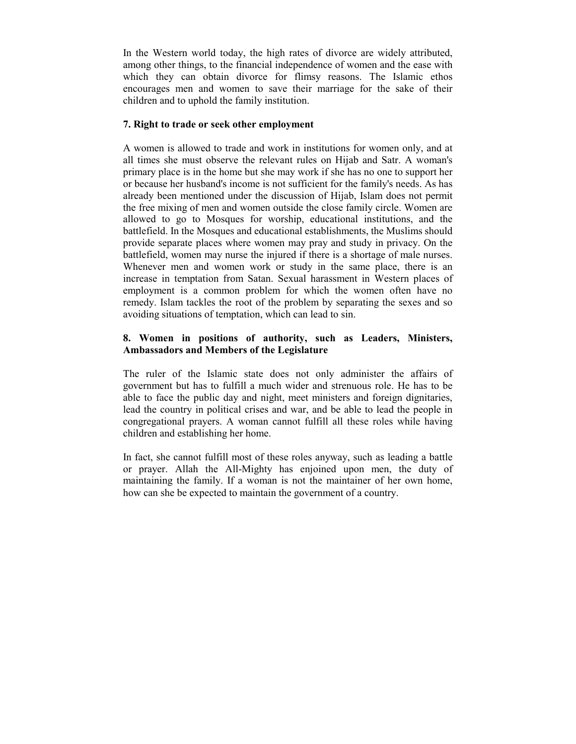In the Western world today, the high rates of divorce are widely attributed, among other things, to the financial independence of women and the ease with which they can obtain divorce for flimsy reasons. The Islamic ethos encourages men and women to save their marriage for the sake of their children and to uphold the family institution.

# **7. Right to trade or seek other employment**

A women is allowed to trade and work in institutions for women only, and at all times she must observe the relevant rules on Hijab and Satr. A woman's primary place is in the home but she may work if she has no one to support her or because her husband's income is not sufficient for the family's needs. As has already been mentioned under the discussion of Hijab, Islam does not permit the free mixing of men and women outside the close family circle. Women are allowed to go to Mosques for worship, educational institutions, and the battlefield. In the Mosques and educational establishments, the Muslims should provide separate places where women may pray and study in privacy. On the battlefield, women may nurse the injured if there is a shortage of male nurses. Whenever men and women work or study in the same place, there is an increase in temptation from Satan. Sexual harassment in Western places of employment is a common problem for which the women often have no remedy. Islam tackles the root of the problem by separating the sexes and so avoiding situations of temptation, which can lead to sin.

# **8. Women in positions of authority, such as Leaders, Ministers, Ambassadors and Members of the Legislature**

The ruler of the Islamic state does not only administer the affairs of government but has to fulfill a much wider and strenuous role. He has to be able to face the public day and night, meet ministers and foreign dignitaries, lead the country in political crises and war, and be able to lead the people in congregational prayers. A woman cannot fulfill all these roles while having children and establishing her home.

In fact, she cannot fulfill most of these roles anyway, such as leading a battle or prayer. Allah the All-Mighty has enjoined upon men, the duty of maintaining the family. If a woman is not the maintainer of her own home, how can she be expected to maintain the government of a country.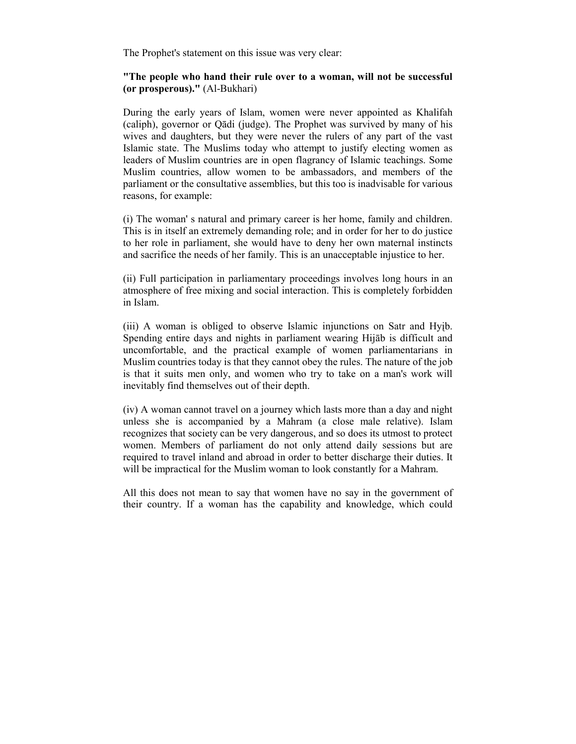The Prophet's statement on this issue was very clear:

### **"The people who hand their rule over to a woman, will not be successful (or prosperous)."** (Al-Bukhari)

During the early years of Islam, women were never appointed as Khalifah (caliph), governor or Qādi (judge). The Prophet was survived by many of his wives and daughters, but they were never the rulers of any part of the vast Islamic state. The Muslims today who attempt to justify electing women as leaders of Muslim countries are in open flagrancy of Islamic teachings. Some Muslim countries, allow women to be ambassadors, and members of the parliament or the consultative assemblies, but this too is inadvisable for various reasons, for example:

(i) The woman' s natural and primary career is her home, family and children. This is in itself an extremely demanding role; and in order for her to do justice to her role in parliament, she would have to deny her own maternal instincts and sacrifice the needs of her family. This is an unacceptable injustice to her.

(ii) Full participation in parliamentary proceedings involves long hours in an atmosphere of free mixing and social interaction. This is completely forbidden in Islam.

(iii) A woman is obliged to observe Islamic injunctions on Satr and Hyįb. Spending entire days and nights in parliament wearing Hijāb is difficult and uncomfortable, and the practical example of women parliamentarians in Muslim countries today is that they cannot obey the rules. The nature of the job is that it suits men only, and women who try to take on a man's work will inevitably find themselves out of their depth.

(iv) A woman cannot travel on a journey which lasts more than a day and night unless she is accompanied by a Mahram (a close male relative). Islam recognizes that society can be very dangerous, and so does its utmost to protect women. Members of parliament do not only attend daily sessions but are required to travel inland and abroad in order to better discharge their duties. It will be impractical for the Muslim woman to look constantly for a Mahram.

All this does not mean to say that women have no say in the government of their country. If a woman has the capability and knowledge, which could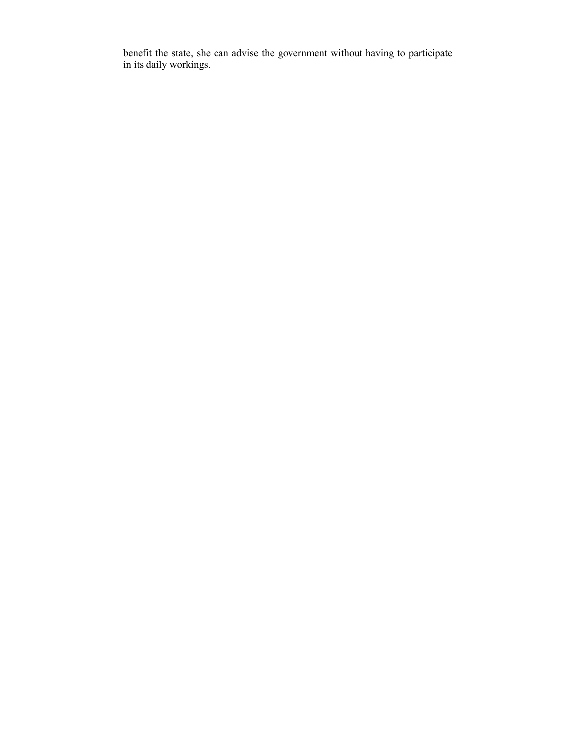benefit the state, she can advise the government without having to participate in its daily workings.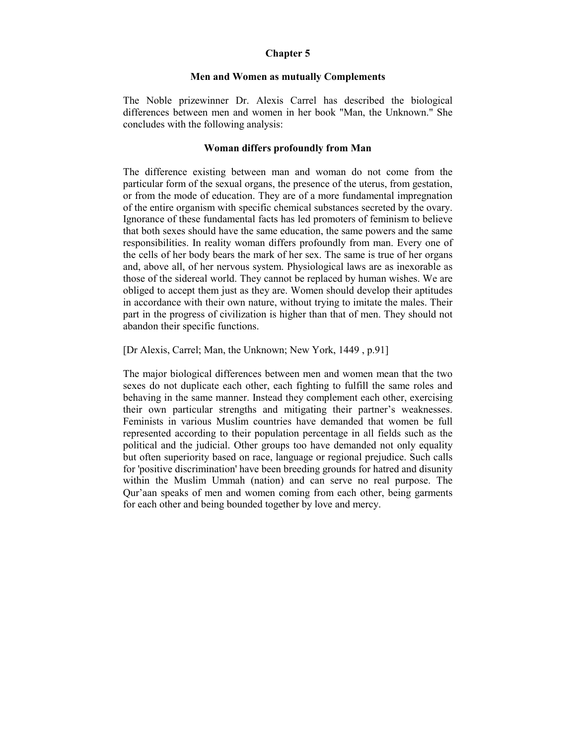### **Chapter 5**

#### **Men and Women as mutually Complements**

The Noble prizewinner Dr. Alexis Carrel has described the biological differences between men and women in her book "Man, the Unknown." She concludes with the following analysis:

#### **Woman differs profoundly from Man**

The difference existing between man and woman do not come from the particular form of the sexual organs, the presence of the uterus, from gestation, or from the mode of education. They are of a more fundamental impregnation of the entire organism with specific chemical substances secreted by the ovary. Ignorance of these fundamental facts has led promoters of feminism to believe that both sexes should have the same education, the same powers and the same responsibilities. In reality woman differs profoundly from man. Every one of the cells of her body bears the mark of her sex. The same is true of her organs and, above all, of her nervous system. Physiological laws are as inexorable as those of the sidereal world. They cannot be replaced by human wishes. We are obliged to accept them just as they are. Women should develop their aptitudes in accordance with their own nature, without trying to imitate the males. Their part in the progress of civilization is higher than that of men. They should not abandon their specific functions.

[Dr Alexis, Carrel; Man, the Unknown; New York, 1449 , p.91]

The major biological differences between men and women mean that the two sexes do not duplicate each other, each fighting to fulfill the same roles and behaving in the same manner. Instead they complement each other, exercising their own particular strengths and mitigating their partner's weaknesses. Feminists in various Muslim countries have demanded that women be full represented according to their population percentage in all fields such as the political and the judicial. Other groups too have demanded not only equality but often superiority based on race, language or regional prejudice. Such calls for 'positive discrimination' have been breeding grounds for hatred and disunity within the Muslim Ummah (nation) and can serve no real purpose. The Qur'aan speaks of men and women coming from each other, being garments for each other and being bounded together by love and mercy.